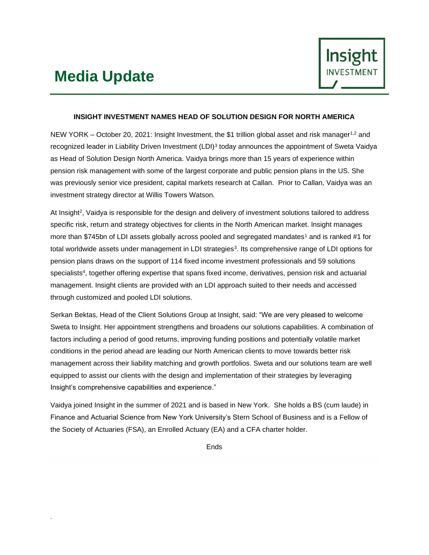## **Media Update**

.



### **INSIGHT INVESTMENT NAMES HEAD OF SOLUTION DESIGN FOR NORTH AMERICA**

NEW YORK – October 20, 2021: Insight Investment, the \$1 trillion global asset and risk manager<sup>1,2</sup> and recognized leader in Liability Driven Investment (LDI)<sup>3</sup> today announces the appointment of Sweta Vaidya as Head of Solution Design North America. Vaidya brings more than 15 years of experience within pension risk management with some of the largest corporate and public pension plans in the US. She was previously senior vice president, capital markets research at Callan. Prior to Callan, Vaidya was an investment strategy director at Willis Towers Watson.

At Insight<sup>2</sup>, Vaidya is responsible for the design and delivery of investment solutions tailored to address specific risk, return and strategy objectives for clients in the North American market. Insight manages more than \$745bn of LDI assets globally across pooled and segregated mandates<sup>1</sup> and is ranked #1 for total worldwide assets under management in LDI strategies<sup>3</sup>. Its comprehensive range of LDI options for pension plans draws on the support of 114 fixed income investment professionals and 59 solutions specialists<sup>4</sup> , together offering expertise that spans fixed income, derivatives, pension risk and actuarial management. Insight clients are provided with an LDI approach suited to their needs and accessed through customized and pooled LDI solutions.

Serkan Bektas, Head of the Client Solutions Group at Insight, said: "We are very pleased to welcome Sweta to Insight. Her appointment strengthens and broadens our solutions capabilities. A combination of factors including a period of good returns, improving funding positions and potentially volatile market conditions in the period ahead are leading our North American clients to move towards better risk management across their liability matching and growth portfolios. Sweta and our solutions team are well equipped to assist our clients with the design and implementation of their strategies by leveraging Insight's comprehensive capabilities and experience."

Vaidya joined Insight in the summer of 2021 and is based in New York. She holds a BS (cum laude) in Finance and Actuarial Science from New York University's Stern School of Business and is a Fellow of the Society of Actuaries (FSA), an Enrolled Actuary (EA) and a CFA charter holder.

Ends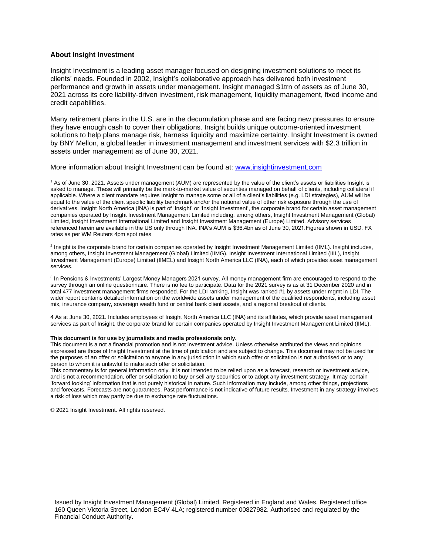### **About Insight Investment**

Insight Investment is a leading asset manager focused on designing investment solutions to meet its clients' needs. Founded in 2002, Insight's collaborative approach has delivered both investment performance and growth in assets under management. Insight managed \$1trn of assets as of June 30, 2021 across its core liability-driven investment, risk management, liquidity management, fixed income and credit capabilities.

Many retirement plans in the U.S. are in the decumulation phase and are facing new pressures to ensure they have enough cash to cover their obligations. Insight builds unique outcome-oriented investment solutions to help plans manage risk, harness liquidity and maximize certainty. Insight Investment is owned by BNY Mellon, a global leader in investment management and investment services with \$2.3 trillion in assets under management as of June 30, 2021.

### More information about Insight Investment can be found at: [www.insightinvestment.com](https://www.insightinvestment.com/united-states/)

<sup>1</sup> As of June 30, 2021. Assets under management (AUM) are represented by the value of the client's assets or liabilities Insight is asked to manage. These will primarily be the mark-to-market value of securities managed on behalf of clients, including collateral if applicable. Where a client mandate requires Insight to manage some or all of a client's liabilities (e.g. LDI strategies), AUM will be equal to the value of the client specific liability benchmark and/or the notional value of other risk exposure through the use of derivatives. Insight North America (INA) is part of 'Insight' or 'Insight Investment', the corporate brand for certain asset management companies operated by Insight Investment Management Limited including, among others, Insight Investment Management (Global) Limited, Insight Investment International Limited and Insight Investment Management (Europe) Limited. Advisory services referenced herein are available in the US only through INA. INA's AUM is \$36.4bn as of June 30, 2021.Figures shown in USD. FX rates as per WM Reuters 4pm spot rates

<sup>2</sup> Insight is the corporate brand for certain companies operated by Insight Investment Management Limited (IIML). Insight includes, among others, Insight Investment Management (Global) Limited (IIMG), Insight Investment International Limited (IIIL), Insight Investment Management (Europe) Limited (IIMEL) and Insight North America LLC (INA), each of which provides asset management services.

<sup>3</sup> In Pensions & Investments' Largest Money Managers 2021 survey. All money management firm are encouraged to respond to the survey through an online questionnaire. There is no fee to participate. Data for the 2021 survey is as at 31 December 2020 and in total 477 investment management firms responded. For the LDI ranking, Insight was ranked #1 by assets under mgmt in LDI. The wider report contains detailed information on the worldwide assets under management of the qualified respondents, including asset mix, insurance company, sovereign wealth fund or central bank client assets, and a regional breakout of clients.

4 As at June 30, 2021. Includes employees of Insight North America LLC (INA) and its affiliates, which provide asset management services as part of Insight, the corporate brand for certain companies operated by Insight Investment Management Limited (IIML).

#### **This document is for use by journalists and media professionals only.**

This document is a not a financial promotion and is not investment advice. Unless otherwise attributed the views and opinions expressed are those of Insight Investment at the time of publication and are subject to change. This document may not be used for the purposes of an offer or solicitation to anyone in any jurisdiction in which such offer or solicitation is not authorised or to any person to whom it is unlawful to make such offer or solicitation.

This commentary is for general information only. It is not intended to be relied upon as a forecast, research or investment advice, and is not a recommendation, offer or solicitation to buy or sell any securities or to adopt any investment strategy. It may contain 'forward looking' information that is not purely historical in nature. Such information may include, among other things, projections and forecasts. Forecasts are not guarantees. Past performance is not indicative of future results. Investment in any strategy involves a risk of loss which may partly be due to exchange rate fluctuations.

© 2021 Insight Investment. All rights reserved.